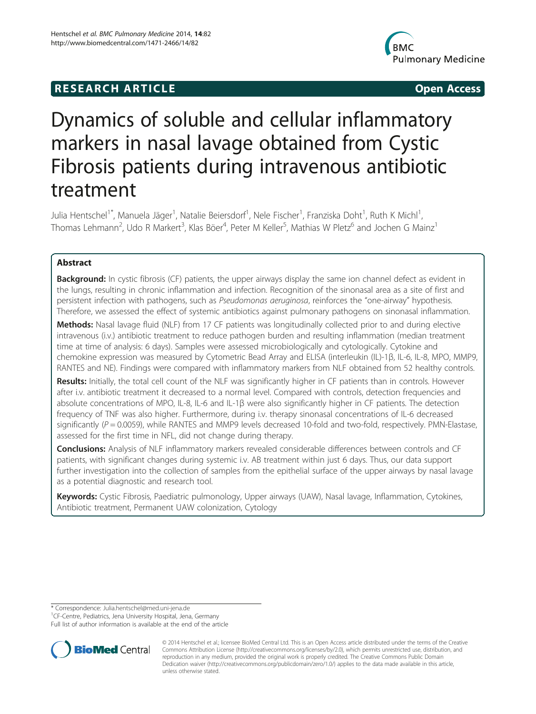# **RESEARCH ARTICLE Example 2014 12:30 The SEAR CHA RESEARCH ARTICLE**



# Dynamics of soluble and cellular inflammatory markers in nasal lavage obtained from Cystic Fibrosis patients during intravenous antibiotic treatment

Julia Hentschel<sup>1\*</sup>, Manuela Jäger<sup>1</sup>, Natalie Beiersdorf<sup>1</sup>, Nele Fischer<sup>1</sup>, Franziska Doht<sup>1</sup>, Ruth K Michl<sup>1</sup> , Thomas Lehmann<sup>2</sup>, Udo R Markert<sup>3</sup>, Klas Böer<sup>4</sup>, Peter M Keller<sup>5</sup>, Mathias W Pletz<sup>6</sup> and Jochen G Mainz<sup>1</sup>

# Abstract

Background: In cystic fibrosis (CF) patients, the upper airways display the same ion channel defect as evident in the lungs, resulting in chronic inflammation and infection. Recognition of the sinonasal area as a site of first and persistent infection with pathogens, such as Pseudomonas aeruginosa, reinforces the "one-airway" hypothesis. Therefore, we assessed the effect of systemic antibiotics against pulmonary pathogens on sinonasal inflammation.

Methods: Nasal lavage fluid (NLF) from 17 CF patients was longitudinally collected prior to and during elective intravenous (i.v.) antibiotic treatment to reduce pathogen burden and resulting inflammation (median treatment time at time of analysis: 6 days). Samples were assessed microbiologically and cytologically. Cytokine and chemokine expression was measured by Cytometric Bead Array and ELISA (interleukin (IL)-1β, IL-6, IL-8, MPO, MMP9, RANTES and NE). Findings were compared with inflammatory markers from NLF obtained from 52 healthy controls.

Results: Initially, the total cell count of the NLF was significantly higher in CF patients than in controls. However after i.v. antibiotic treatment it decreased to a normal level. Compared with controls, detection frequencies and absolute concentrations of MPO, IL-8, IL-6 and IL-1β were also significantly higher in CF patients. The detection frequency of TNF was also higher. Furthermore, during i.v. therapy sinonasal concentrations of IL-6 decreased significantly ( $P = 0.0059$ ), while RANTES and MMP9 levels decreased 10-fold and two-fold, respectively. PMN-Elastase, assessed for the first time in NFL, did not change during therapy.

Conclusions: Analysis of NLF inflammatory markers revealed considerable differences between controls and CF patients, with significant changes during systemic i.v. AB treatment within just 6 days. Thus, our data support further investigation into the collection of samples from the epithelial surface of the upper airways by nasal lavage as a potential diagnostic and research tool.

Keywords: Cystic Fibrosis, Paediatric pulmonology, Upper airways (UAW), Nasal lavage, Inflammation, Cytokines, Antibiotic treatment, Permanent UAW colonization, Cytology

\* Correspondence: [Julia.hentschel@med.uni-jena.de](mailto:Julia.hentschel@med.uni-jena.de) <sup>1</sup>

<sup>1</sup>CF-Centre, Pediatrics, Jena University Hospital, Jena, Germany

Full list of author information is available at the end of the article



© 2014 Hentschel et al.; licensee BioMed Central Ltd. This is an Open Access article distributed under the terms of the Creative Commons Attribution License [\(http://creativecommons.org/licenses/by/2.0\)](http://creativecommons.org/licenses/by/2.0), which permits unrestricted use, distribution, and reproduction in any medium, provided the original work is properly credited. The Creative Commons Public Domain Dedication waiver [\(http://creativecommons.org/publicdomain/zero/1.0/](http://creativecommons.org/publicdomain/zero/1.0/)) applies to the data made available in this article, unless otherwise stated.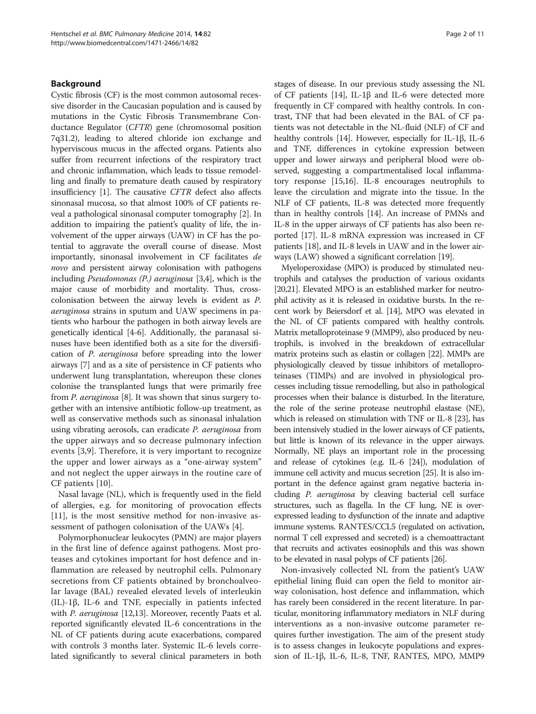# Background

Cystic fibrosis (CF) is the most common autosomal recessive disorder in the Caucasian population and is caused by mutations in the Cystic Fibrosis Transmembrane Conductance Regulator (CFTR) gene (chromosomal position 7q31.2), leading to altered chloride ion exchange and hyperviscous mucus in the affected organs. Patients also suffer from recurrent infections of the respiratory tract and chronic inflammation, which leads to tissue remodelling and finally to premature death caused by respiratory insufficiency [[1\]](#page-9-0). The causative CFTR defect also affects sinonasal mucosa, so that almost 100% of CF patients reveal a pathological sinonasal computer tomography [\[2](#page-9-0)]. In addition to impairing the patient's quality of life, the involvement of the upper airways (UAW) in CF has the potential to aggravate the overall course of disease. Most importantly, sinonasal involvement in CF facilitates de novo and persistent airway colonisation with pathogens including Pseudomonas (P.) aeruginosa [\[3,4\]](#page-9-0), which is the major cause of morbidity and mortality. Thus, crosscolonisation between the airway levels is evident as P. aeruginosa strains in sputum and UAW specimens in patients who harbour the pathogen in both airway levels are genetically identical [\[4-6](#page-9-0)]. Additionally, the paranasal sinuses have been identified both as a site for the diversification of P. aeruginosa before spreading into the lower airways [\[7](#page-9-0)] and as a site of persistence in CF patients who underwent lung transplantation, whereupon these clones colonise the transplanted lungs that were primarily free from P. aeruginosa [[8\]](#page-9-0). It was shown that sinus surgery together with an intensive antibiotic follow-up treatment, as well as conservative methods such as sinonasal inhalation using vibrating aerosols, can eradicate P. aeruginosa from the upper airways and so decrease pulmonary infection events [\[3](#page-9-0),[9\]](#page-9-0). Therefore, it is very important to recognize the upper and lower airways as a "one-airway system" and not neglect the upper airways in the routine care of CF patients [[10](#page-9-0)].

Nasal lavage (NL), which is frequently used in the field of allergies, e.g. for monitoring of provocation effects [[11\]](#page-9-0), is the most sensitive method for non-invasive assessment of pathogen colonisation of the UAWs [[4\]](#page-9-0).

Polymorphonuclear leukocytes (PMN) are major players in the first line of defence against pathogens. Most proteases and cytokines important for host defence and inflammation are released by neutrophil cells. Pulmonary secretions from CF patients obtained by bronchoalveolar lavage (BAL) revealed elevated levels of interleukin (IL)-1β, IL-6 and TNF, especially in patients infected with *P. aeruginosa* [[12,13](#page-9-0)]. Moreover, recently Paats et al. reported significantly elevated IL-6 concentrations in the NL of CF patients during acute exacerbations, compared with controls 3 months later. Systemic IL-6 levels correlated significantly to several clinical parameters in both stages of disease. In our previous study assessing the NL of CF patients [\[14\]](#page-9-0), IL-1β and IL-6 were detected more frequently in CF compared with healthy controls. In contrast, TNF that had been elevated in the BAL of CF patients was not detectable in the NL-fluid (NLF) of CF and healthy controls [\[14\]](#page-9-0). However, especially for IL-1β, IL-6 and TNF, differences in cytokine expression between upper and lower airways and peripheral blood were observed, suggesting a compartmentalised local inflammatory response [[15,16\]](#page-9-0). IL-8 encourages neutrophils to leave the circulation and migrate into the tissue. In the NLF of CF patients, IL-8 was detected more frequently than in healthy controls [\[14\]](#page-9-0). An increase of PMNs and IL-8 in the upper airways of CF patients has also been reported [[17](#page-9-0)]. IL-8 mRNA expression was increased in CF patients [\[18\]](#page-9-0), and IL-8 levels in UAW and in the lower airways (LAW) showed a significant correlation [\[19\]](#page-9-0).

Myeloperoxidase (MPO) is produced by stimulated neutrophils and catalyses the production of various oxidants [[20,21\]](#page-9-0). Elevated MPO is an established marker for neutrophil activity as it is released in oxidative bursts. In the recent work by Beiersdorf et al. [[14](#page-9-0)], MPO was elevated in the NL of CF patients compared with healthy controls. Matrix metalloproteinase 9 (MMP9), also produced by neutrophils, is involved in the breakdown of extracellular matrix proteins such as elastin or collagen [\[22](#page-10-0)]. MMPs are physiologically cleaved by tissue inhibitors of metalloproteinases (TIMPs) and are involved in physiological processes including tissue remodelling, but also in pathological processes when their balance is disturbed. In the literature, the role of the serine protease neutrophil elastase (NE), which is released on stimulation with TNF or IL-8 [\[23\]](#page-10-0), has been intensively studied in the lower airways of CF patients, but little is known of its relevance in the upper airways. Normally, NE plays an important role in the processing and release of cytokines (e.g. IL-6 [\[24\]](#page-10-0)), modulation of immune cell activity and mucus secretion [[25](#page-10-0)]. It is also important in the defence against gram negative bacteria including P. aeruginosa by cleaving bacterial cell surface structures, such as flagella. In the CF lung, NE is overexpressed leading to dysfunction of the innate and adaptive immune systems. RANTES/CCL5 (regulated on activation, normal T cell expressed and secreted) is a chemoattractant that recruits and activates eosinophils and this was shown to be elevated in nasal polyps of CF patients [\[26\]](#page-10-0).

Non-invasively collected NL from the patient's UAW epithelial lining fluid can open the field to monitor airway colonisation, host defence and inflammation, which has rarely been considered in the recent literature. In particular, monitoring inflammatory mediators in NLF during interventions as a non-invasive outcome parameter requires further investigation. The aim of the present study is to assess changes in leukocyte populations and expression of IL-1β, IL-6, IL-8, TNF, RANTES, MPO, MMP9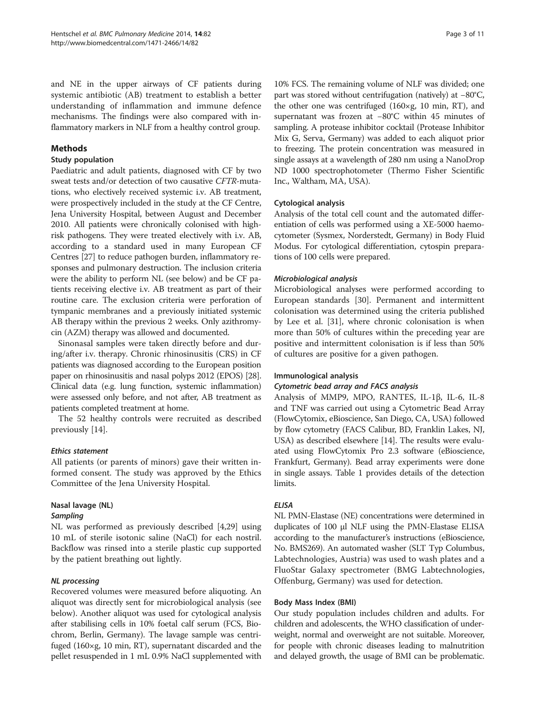and NE in the upper airways of CF patients during systemic antibiotic (AB) treatment to establish a better understanding of inflammation and immune defence mechanisms. The findings were also compared with inflammatory markers in NLF from a healthy control group.

# Methods

# Study population

Paediatric and adult patients, diagnosed with CF by two sweat tests and/or detection of two causative CFTR-mutations, who electively received systemic i.v. AB treatment, were prospectively included in the study at the CF Centre, Jena University Hospital, between August and December 2010. All patients were chronically colonised with highrisk pathogens. They were treated electively with i.v. AB, according to a standard used in many European CF Centres [\[27](#page-10-0)] to reduce pathogen burden, inflammatory responses and pulmonary destruction. The inclusion criteria were the ability to perform NL (see below) and be CF patients receiving elective i.v. AB treatment as part of their routine care. The exclusion criteria were perforation of tympanic membranes and a previously initiated systemic AB therapy within the previous 2 weeks. Only azithromycin (AZM) therapy was allowed and documented.

Sinonasal samples were taken directly before and during/after i.v. therapy. Chronic rhinosinusitis (CRS) in CF patients was diagnosed according to the European position paper on rhinosinusitis and nasal polyps 2012 (EPOS) [[28](#page-10-0)]. Clinical data (e.g. lung function, systemic inflammation) were assessed only before, and not after, AB treatment as patients completed treatment at home.

The 52 healthy controls were recruited as described previously [\[14](#page-9-0)].

# Ethics statement

All patients (or parents of minors) gave their written informed consent. The study was approved by the Ethics Committee of the Jena University Hospital.

# Nasal lavage (NL)

# **Sampling**

NL was performed as previously described [[4](#page-9-0),[29](#page-10-0)] using 10 mL of sterile isotonic saline (NaCl) for each nostril. Backflow was rinsed into a sterile plastic cup supported by the patient breathing out lightly.

# NL processing

Recovered volumes were measured before aliquoting. An aliquot was directly sent for microbiological analysis (see below). Another aliquot was used for cytological analysis after stabilising cells in 10% foetal calf serum (FCS, Biochrom, Berlin, Germany). The lavage sample was centrifuged (160×g, 10 min, RT), supernatant discarded and the pellet resuspended in 1 mL 0.9% NaCl supplemented with 10% FCS. The remaining volume of NLF was divided; one part was stored without centrifugation (natively) at −80°C, the other one was centrifuged (160×g, 10 min, RT), and supernatant was frozen at −80°C within 45 minutes of sampling. A protease inhibitor cocktail (Protease Inhibitor Mix G, Serva, Germany) was added to each aliquot prior to freezing. The protein concentration was measured in single assays at a wavelength of 280 nm using a NanoDrop ND 1000 spectrophotometer (Thermo Fisher Scientific Inc., Waltham, MA, USA).

#### Cytological analysis

Analysis of the total cell count and the automated differentiation of cells was performed using a XE-5000 haemocytometer (Sysmex, Norderstedt, Germany) in Body Fluid Modus. For cytological differentiation, cytospin preparations of 100 cells were prepared.

## Microbiological analysis

Microbiological analyses were performed according to European standards [\[30](#page-10-0)]. Permanent and intermittent colonisation was determined using the criteria published by Lee et al. [[31\]](#page-10-0), where chronic colonisation is when more than 50% of cultures within the preceding year are positive and intermittent colonisation is if less than 50% of cultures are positive for a given pathogen.

#### Immunological analysis

### Cytometric bead array and FACS analysis

Analysis of MMP9, MPO, RANTES, IL-1β, IL-6, IL-8 and TNF was carried out using a Cytometric Bead Array (FlowCytomix, eBioscience, San Diego, CA, USA) followed by flow cytometry (FACS Calibur, BD, Franklin Lakes, NJ, USA) as described elsewhere [[14](#page-9-0)]. The results were evaluated using FlowCytomix Pro 2.3 software (eBioscience, Frankfurt, Germany). Bead array experiments were done in single assays. Table [1](#page-3-0) provides details of the detection limits.

# ELISA

NL PMN-Elastase (NE) concentrations were determined in duplicates of 100 μl NLF using the PMN-Elastase ELISA according to the manufacturer's instructions (eBioscience, No. BMS269). An automated washer (SLT Typ Columbus, Labtechnologies, Austria) was used to wash plates and a FluoStar Galaxy spectrometer (BMG Labtechnologies, Offenburg, Germany) was used for detection.

#### Body Mass Index (BMI)

Our study population includes children and adults. For children and adolescents, the WHO classification of underweight, normal and overweight are not suitable. Moreover, for people with chronic diseases leading to malnutrition and delayed growth, the usage of BMI can be problematic.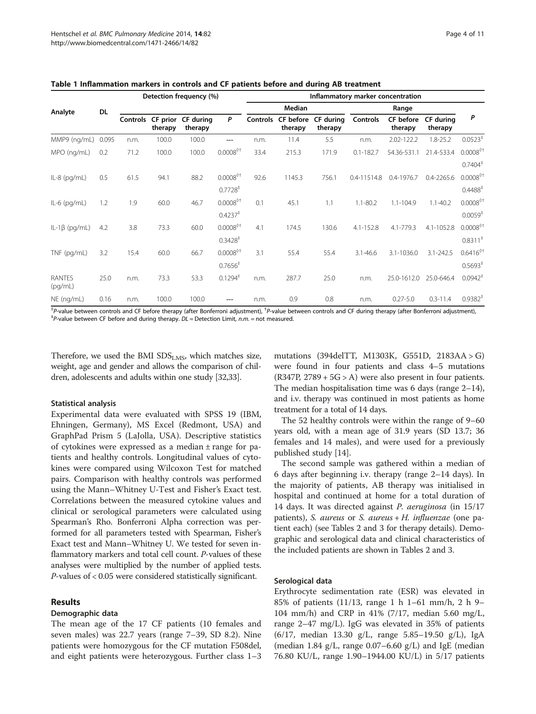| Analyte                  | <b>DL</b> | Detection frequency (%) |                              |                             |                             | Inflammatory marker concentration |                      |                             |               |                      |                      |                       |
|--------------------------|-----------|-------------------------|------------------------------|-----------------------------|-----------------------------|-----------------------------------|----------------------|-----------------------------|---------------|----------------------|----------------------|-----------------------|
|                          |           |                         |                              |                             |                             | Median                            |                      |                             |               | Range                |                      |                       |
|                          |           |                         | Controls CF prior<br>therapy | <b>CF</b> during<br>therapy | P                           | Controls                          | CF before<br>therapy | <b>CF</b> during<br>therapy | Controls      | CF before<br>therapy | CF during<br>therapy | P                     |
| MMP9 (ng/mL) 0.095       |           | n.m.                    | 100.0                        | 100.0                       |                             | n.m.                              | 11.4                 | 5.5                         | n.m.          | 2.02-122.2           | $1.8 - 25.2$         | 0.0523 <sup>†</sup>   |
| MPO (ng/mL)              | 0.2       | 71.2                    | 100.0                        | 100.0                       | $0.0008^{\lozenge +}$       | 33.4                              | 215.3                | 171.9                       | $0.1 - 182.7$ | 54.36-531.1          | 21.4-533.4           | $0.0008^{\lozenge +}$ |
|                          |           |                         |                              |                             |                             |                                   |                      |                             |               |                      |                      | 0.7404 <sup>‡</sup>   |
| $IL-8$ (pg/mL)           | 0.5       | 61.5                    | 94.1                         | 88.2                        | $0.0008^{\circ +}$          | 92.6                              | 1145.3               | 756.1                       | 0.4-11514.8   | 0.4-1976.7           | 0.4-2265.6           | $0.0008^{\lozenge +}$ |
|                          |           |                         |                              |                             | 0.7728 <sup>‡</sup>         |                                   |                      |                             |               |                      |                      | $0.4488^{\ddagger}$   |
| $IL-6$ (pg/mL)           | 1.2       | 1.9                     | 60.0                         | 46.7                        | $0.0008^{\circ +}$          | 0.1                               | 45.1                 | 1.1                         | $1.1 - 80.2$  | 1.1-104.9            | $1.1 - 40.2$         | $0.0008^{\lozenge +}$ |
|                          |           |                         |                              |                             | $0.4237$ <sup>+</sup>       |                                   |                      |                             |               |                      |                      | 0.0059 <sup>‡</sup>   |
| $IL-1\beta$ (pg/mL)      | 4.2       | 3.8                     | 73.3                         | 60.0                        | $0.0008^{\circ +}$          | 4.1                               | 174.5                | 130.6                       | 4.1-152.8     | 4.1-779.3            | 4.1-1052.8           | $0.0008^{\circ +}$    |
|                          |           |                         |                              |                             | 0.3428 <sup>‡</sup>         |                                   |                      |                             |               |                      |                      | 0.8311 <sup>‡</sup>   |
| TNF (pg/mL)              | 3.2       | 15.4                    | 60.0                         | 66.7                        | $0.0008^{\lozenge\uparrow}$ | 3.1                               | 55.4                 | 55.4                        | $3.1 - 46.6$  | 3.1-1036.0           | $3.1 - 242.5$        | $0.6416^{\circ +}$    |
|                          |           |                         |                              |                             | $0.7656^+$                  |                                   |                      |                             |               |                      |                      | $0.5693*$             |
| <b>RANTES</b><br>(pq/mL) | 25.0      | n.m.                    | 73.3                         | 53.3                        | 0.1294 <sup>‡</sup>         | n.m.                              | 287.7                | 25.0                        | n.m.          | 25.0-1612.0          | 25.0-646.4           | $0.0942$ <sup>+</sup> |
| NE (ng/mL)               | 0.16      | n.m.                    | 100.0                        | 100.0                       |                             | n.m.                              | 0.9                  | 0.8                         | n.m.          | $0.27 - 5.0$         | $0.3 - 11.4$         | $0.9382^+$            |

<span id="page-3-0"></span>Table 1 Inflammation markers in controls and CF patients before and during AB treatment

<sup>o</sup>P-value between controls and CF before therapy (after Bonferroni adjustment), <sup>†</sup>P-value between controls and CF during therapy (after Bonferroni adjustment<u>)</u>,<br><sup>‡p</sup> value between CF before and during therapy. Of = Dete <sup>‡</sup>P-value between CF before and during therapy.  $DL =$  Detection Limit,  $n.m. =$  not measured.

Therefore, we used the BMI  $SDS<sub>LMS</sub>$ , which matches size, weight, age and gender and allows the comparison of children, adolescents and adults within one study [\[32,33](#page-10-0)].

#### Statistical analysis

Experimental data were evaluated with SPSS 19 (IBM, Ehningen, Germany), MS Excel (Redmont, USA) and GraphPad Prism 5 (LaJolla, USA). Descriptive statistics of cytokines were expressed as a median ± range for patients and healthy controls. Longitudinal values of cytokines were compared using Wilcoxon Test for matched pairs. Comparison with healthy controls was performed using the Mann–Whitney U-Test and Fisher's Exact test. Correlations between the measured cytokine values and clinical or serological parameters were calculated using Spearman's Rho. Bonferroni Alpha correction was performed for all parameters tested with Spearman, Fisher's Exact test and Mann–Whitney U. We tested for seven inflammatory markers and total cell count. P-values of these analyses were multiplied by the number of applied tests. P-values of < 0.05 were considered statistically significant.

### Results

#### Demographic data

The mean age of the 17 CF patients (10 females and seven males) was 22.7 years (range 7–39, SD 8.2). Nine patients were homozygous for the CF mutation F508del, and eight patients were heterozygous. Further class 1–3 mutations (394delTT, M1303K, G551D, 2183AA > G) were found in four patients and class 4–5 mutations  $(R347P, 2789 + 5G > A)$  were also present in four patients. The median hospitalisation time was 6 days (range 2–14), and i.v. therapy was continued in most patients as home treatment for a total of 14 days.

The 52 healthy controls were within the range of 9–60 years old, with a mean age of 31.9 years (SD 13.7; 36 females and 14 males), and were used for a previously published study [\[14\]](#page-9-0).

The second sample was gathered within a median of 6 days after beginning i.v. therapy (range 2–14 days). In the majority of patients, AB therapy was initialised in hospital and continued at home for a total duration of 14 days. It was directed against P. aeruginosa (in 15/17 patients), S. aureus or S. aureus  $+H$ . influenzae (one patient each) (see Tables [2](#page-4-0) and [3](#page-5-0) for therapy details). Demographic and serological data and clinical characteristics of the included patients are shown in Tables [2](#page-4-0) and [3.](#page-5-0)

# Serological data

Erythrocyte sedimentation rate (ESR) was elevated in 85% of patients (11/13, range 1 h 1–61 mm/h, 2 h 9– 104 mm/h) and CRP in 41% (7/17, median 5.60 mg/L, range 2–47 mg/L). IgG was elevated in 35% of patients  $(6/17, \text{ median } 13.30 \text{ g/L}, \text{range } 5.85-19.50 \text{ g/L}), \text{ IgA}$ (median 1.84 g/L, range  $0.07-6.60$  g/L) and IgE (median 76.80 KU/L, range 1.90–1944.00 KU/L) in 5/17 patients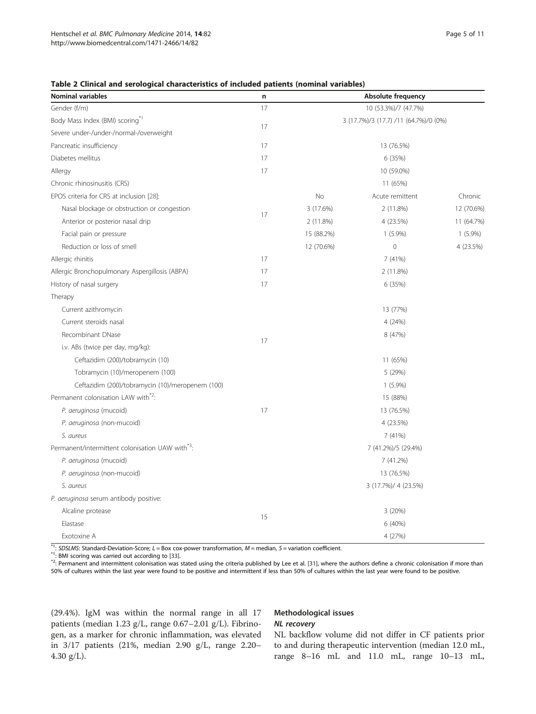# <span id="page-4-0"></span>Table 2 Clinical and serological characteristics of included patients (nominal variables)

| <b>Nominal variables</b>                                     | n  | <b>Absolute frequency</b>             |                      |            |  |
|--------------------------------------------------------------|----|---------------------------------------|----------------------|------------|--|
| Gender (f/m)                                                 | 17 | 10 (53.3%)/7 (47.7%)                  |                      |            |  |
| Body Mass Index (BMI) scoring <sup>*1</sup>                  |    | 3 (17.7%)/3 (17.7) /11 (64.7%)/0 (0%) |                      |            |  |
| Severe under-/under-/normal-/overweight                      | 17 |                                       |                      |            |  |
| Pancreatic insufficiency                                     | 17 |                                       | 13 (76.5%)           |            |  |
| Diabetes mellitus                                            | 17 |                                       | 6 (35%)              |            |  |
| Allergy                                                      | 17 |                                       | 10 (59.0%)           |            |  |
| Chronic rhinosinusitis (CRS)                                 |    |                                       | 11 (65%)             |            |  |
| EPOS criteria for CRS at inclusion [28]:                     |    | <b>No</b>                             | Acute remittent      | Chronic    |  |
| Nasal blockage or obstruction or congestion                  | 17 | 3 (17.6%)                             | 2 (11.8%)            | 12 (70.6%) |  |
| Anterior or posterior nasal drip                             |    | 2(11.8%)                              | 4 (23.5%)            | 11 (64.7%) |  |
| Facial pain or pressure                                      |    | 15 (88.2%)                            | $1(5.9\%)$           | $1(5.9\%)$ |  |
| Reduction or loss of smell                                   |    | 12 (70.6%)                            | $\mathsf{O}\xspace$  | 4 (23.5%)  |  |
| Allergic rhinitis                                            | 17 |                                       | 7 (41%)              |            |  |
| Allergic Bronchopulmonary Aspergillosis (ABPA)               | 17 |                                       | 2 (11.8%)            |            |  |
| History of nasal surgery                                     | 17 |                                       | 6 (35%)              |            |  |
| Therapy                                                      |    |                                       |                      |            |  |
| Current azithromycin                                         |    |                                       | 13 (77%)             |            |  |
| Current steroids nasal                                       |    |                                       | 4 (24%)              |            |  |
| Recombinant DNase                                            |    |                                       | 8 (47%)              |            |  |
| i.v. ABs (twice per day, mg/kg):                             | 17 |                                       |                      |            |  |
| Ceftazidim (200)/tobramycin (10)                             |    |                                       | 11 (65%)             |            |  |
| Tobramycin (10)/meropenem (100)                              |    |                                       | 5 (29%)              |            |  |
| Ceftazidim (200)/tobramycin (10)/meropenem (100)             |    |                                       | $1(5.9\%)$           |            |  |
| Permanent colonisation LAW with <sup>*2</sup> :              |    |                                       | 15 (88%)             |            |  |
| P. aeruginosa (mucoid)                                       | 17 |                                       | 13 (76.5%)           |            |  |
| P. aeruginosa (non-mucoid)                                   |    |                                       | 4 (23.5%)            |            |  |
| S. aureus                                                    |    |                                       | 7 (41%)              |            |  |
| Permanent/intermittent colonisation UAW with <sup>75</sup> : |    |                                       | 7 (41.2%)/5 (29.4%)  |            |  |
| P. aeruginosa (mucoid)                                       |    |                                       | 7 (41.2%)            |            |  |
| P. aeruginosa (non-mucoid)                                   |    |                                       | 13 (76.5%)           |            |  |
| S. aureus                                                    |    |                                       | 3 (17.7%)/ 4 (23.5%) |            |  |
| P. aeruginosa serum antibody positive:                       |    |                                       |                      |            |  |
| Alcaline protease                                            |    |                                       | 3 (20%)              |            |  |
| Elastase                                                     | 15 |                                       | 6 (40%)              |            |  |
| Exotoxine A                                                  |    |                                       | 4 (27%)              |            |  |

<sup>11</sup>: SDSLMS: Standard-Deviation-Score; L = Box cox-power transformation, M = median, S = variation coefficient.<br><sup>\*1</sup>: BMI scoring was carried out according to [\[33](#page-10-0)].<br><sup>\*2</sup>: Permanent and intermittent colonisation was state 50% of cultures within the last year were found to be positive and intermittent if less than 50% of cultures within the last year were found to be positive.

(29.4%). IgM was within the normal range in all 17 patients (median 1.23 g/L, range 0.67–2.01 g/L). Fibrinogen, as a marker for chronic inflammation, was elevated in 3/17 patients (21%, median 2.90 g/L, range 2.20– 4.30 g/L).

# Methodological issues NL recovery

NL backflow volume did not differ in CF patients prior to and during therapeutic intervention (median 12.0 mL, range 8–16 mL and 11.0 mL, range 10–13 mL,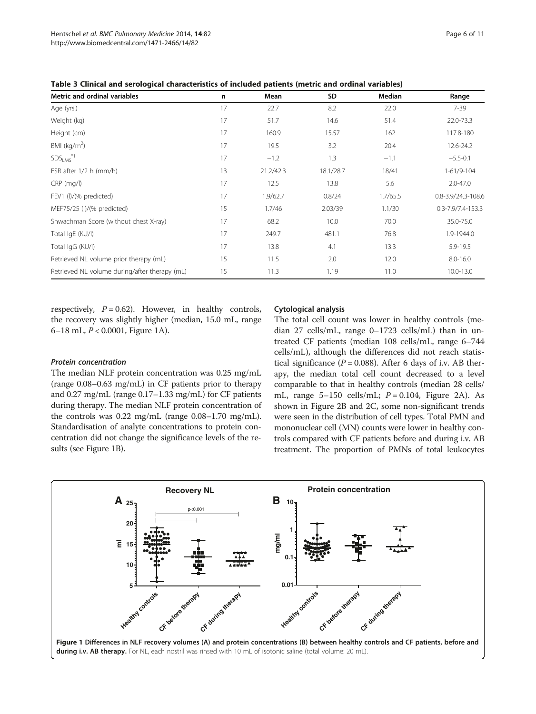| Metric and ordinal variables                  | n  | Mean      | SD        | Median   | Range              |
|-----------------------------------------------|----|-----------|-----------|----------|--------------------|
| Age (yrs.)                                    | 17 | 22.7      | 8.2       | 22.0     | $7 - 39$           |
| Weight (kg)                                   | 17 | 51.7      | 14.6      | 51.4     | 22.0-73.3          |
| Height (cm)                                   | 17 | 160.9     | 15.57     | 162      | 117.8-180          |
| BMI ( $kg/m2$ )                               | 17 | 19.5      | 3.2       | 20.4     | 12.6-24.2          |
| $SDS_{LMS}^*$ <sup>1</sup>                    | 17 | $-1.2$    | 1.3       | $-1.1$   | $-5.5 - 0.1$       |
| ESR after 1/2 h (mm/h)                        | 13 | 21.2/42.3 | 18.1/28.7 | 18/41    | 1-61/9-104         |
| $CRP$ (mg/l)                                  | 17 | 12.5      | 13.8      | 5.6      | $2.0 - 47.0$       |
| FEV1 (I)/(% predicted)                        | 17 | 1.9/62.7  | 0.8/24    | 1.7/65.5 | 0.8-3.9/24.3-108.6 |
| MEF75/25 (I)/(% predicted)                    | 15 | 1.7/46    | 2.03/39   | 1.1/30   | 0.3-7.9/7.4-153.3  |
| Shwachman Score (without chest X-ray)         | 17 | 68.2      | 10.0      | 70.0     | 35.0-75.0          |
| Total IqE (KU/I)                              | 17 | 249.7     | 481.1     | 76.8     | 1.9-1944.0         |
| Total IgG (KU/I)                              | 17 | 13.8      | 4.1       | 13.3     | 5.9-19.5           |
| Retrieved NL volume prior therapy (mL)        | 15 | 11.5      | 2.0       | 12.0     | $8.0 - 16.0$       |
| Retrieved NL volume during/after therapy (mL) | 15 | 11.3      | 1.19      | 11.0     | 10.0-13.0          |

<span id="page-5-0"></span>Table 3 Clinical and serological characteristics of included patients (metric and ordinal variables)

respectively,  $P = 0.62$ ). However, in healthy controls, the recovery was slightly higher (median, 15.0 mL, range 6–18 mL, P < 0.0001, Figure 1A).

Cytological analysis

#### Protein concentration

The median NLF protein concentration was 0.25 mg/mL (range 0.08–0.63 mg/mL) in CF patients prior to therapy and 0.27 mg/mL (range 0.17–1.33 mg/mL) for CF patients during therapy. The median NLF protein concentration of the controls was 0.22 mg/mL (range 0.08–1.70 mg/mL). Standardisation of analyte concentrations to protein concentration did not change the significance levels of the results (see Figure 1B).

The total cell count was lower in healthy controls (median 27 cells/mL, range 0–1723 cells/mL) than in untreated CF patients (median 108 cells/mL, range 6–744 cells/mL), although the differences did not reach statistical significance ( $P = 0.088$ ). After 6 days of i.v. AB therapy, the median total cell count decreased to a level comparable to that in healthy controls (median 28 cells/ mL, range  $5-150$  cells/mL;  $P = 0.104$ , Figure [2A](#page-6-0)). As shown in Figure [2](#page-6-0)B and [2C](#page-6-0), some non-significant trends were seen in the distribution of cell types. Total PMN and mononuclear cell (MN) counts were lower in healthy controls compared with CF patients before and during i.v. AB treatment. The proportion of PMNs of total leukocytes

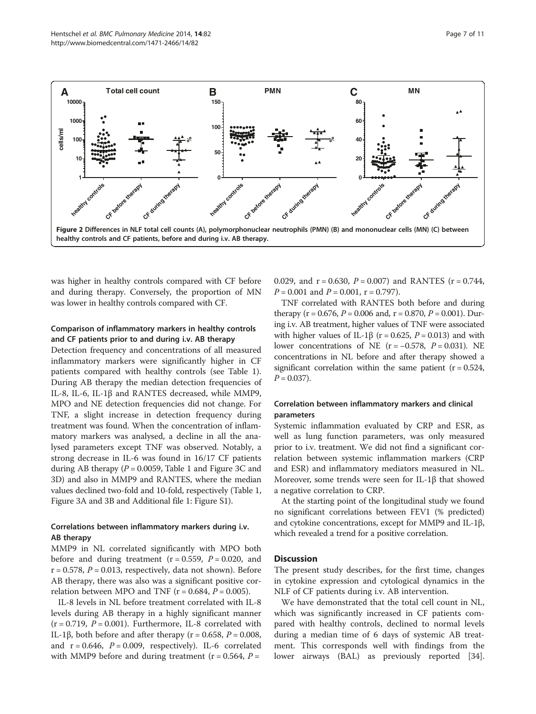<span id="page-6-0"></span>

was higher in healthy controls compared with CF before and during therapy. Conversely, the proportion of MN was lower in healthy controls compared with CF.

# Comparison of inflammatory markers in healthy controls and CF patients prior to and during i.v. AB therapy

Detection frequency and concentrations of all measured inflammatory markers were significantly higher in CF patients compared with healthy controls (see Table [1](#page-3-0)). During AB therapy the median detection frequencies of IL-8, IL-6, IL-1β and RANTES decreased, while MMP9, MPO and NE detection frequencies did not change. For TNF, a slight increase in detection frequency during treatment was found. When the concentration of inflammatory markers was analysed, a decline in all the analysed parameters except TNF was observed. Notably, a strong decrease in IL-6 was found in 16/17 CF patients during AB therapy ( $P = 0.0059$ , Table [1](#page-3-0) and Figure [3](#page-7-0)C and [3D](#page-7-0)) and also in MMP9 and RANTES, where the median values declined two-fold and 10-fold, respectively (Table [1](#page-3-0), Figure [3](#page-7-0)A and [3](#page-7-0)B and Additional file [1](#page-9-0): Figure S1).

# Correlations between inflammatory markers during i.v. AB therapy

MMP9 in NL correlated significantly with MPO both before and during treatment ( $r = 0.559$ ,  $P = 0.020$ , and  $r = 0.578$ ,  $P = 0.013$ , respectively, data not shown). Before AB therapy, there was also was a significant positive correlation between MPO and TNF ( $r = 0.684$ ,  $P = 0.005$ ).

IL-8 levels in NL before treatment correlated with IL-8 levels during AB therapy in a highly significant manner  $(r = 0.719, P = 0.001)$ . Furthermore, IL-8 correlated with IL-1β, both before and after therapy ( $r = 0.658$ ,  $P = 0.008$ , and  $r = 0.646$ ,  $P = 0.009$ , respectively). IL-6 correlated with MMP9 before and during treatment ( $r = 0.564$ ,  $P =$ 

0.029, and  $r = 0.630$ ,  $P = 0.007$ ) and RANTES ( $r = 0.744$ ,  $P = 0.001$  and  $P = 0.001$ ,  $r = 0.797$ ).

TNF correlated with RANTES both before and during therapy ( $r = 0.676$ ,  $P = 0.006$  and,  $r = 0.870$ ,  $P = 0.001$ ). During i.v. AB treatment, higher values of TNF were associated with higher values of IL-1 $\beta$  (r = 0.625, P = 0.013) and with lower concentrations of NE  $(r = -0.578, P = 0.031)$ . NE concentrations in NL before and after therapy showed a significant correlation within the same patient  $(r = 0.524,$  $P = 0.037$ ).

# Correlation between inflammatory markers and clinical parameters

Systemic inflammation evaluated by CRP and ESR, as well as lung function parameters, was only measured prior to i.v. treatment. We did not find a significant correlation between systemic inflammation markers (CRP and ESR) and inflammatory mediators measured in NL. Moreover, some trends were seen for IL-1β that showed a negative correlation to CRP.

At the starting point of the longitudinal study we found no significant correlations between FEV1 (% predicted) and cytokine concentrations, except for MMP9 and IL-1β, which revealed a trend for a positive correlation.

#### **Discussion**

The present study describes, for the first time, changes in cytokine expression and cytological dynamics in the NLF of CF patients during i.v. AB intervention.

We have demonstrated that the total cell count in NL, which was significantly increased in CF patients compared with healthy controls, declined to normal levels during a median time of 6 days of systemic AB treatment. This corresponds well with findings from the lower airways (BAL) as previously reported [\[34](#page-10-0)].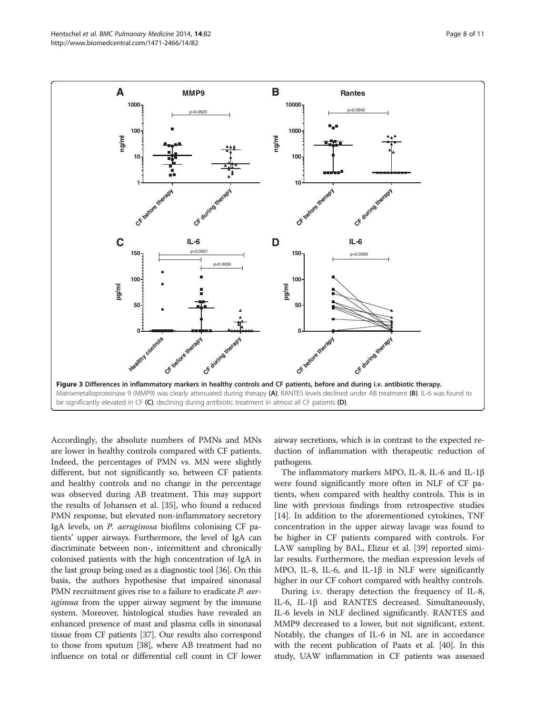<span id="page-7-0"></span>

Accordingly, the absolute numbers of PMNs and MNs are lower in healthy controls compared with CF patients. Indeed, the percentages of PMN vs. MN were slightly different, but not significantly so, between CF patients and healthy controls and no change in the percentage was observed during AB treatment. This may support the results of Johansen et al. [[35\]](#page-10-0), who found a reduced PMN response, but elevated non-inflammatory secretory IgA levels, on P. aeruginosa biofilms colonising CF patients' upper airways. Furthermore, the level of IgA can discriminate between non-, intermittent and chronically colonised patients with the high concentration of IgA in the last group being used as a diagnostic tool [[36](#page-10-0)]. On this basis, the authors hypothesise that impaired sinonasal PMN recruitment gives rise to a failure to eradicate P. aeruginosa from the upper airway segment by the immune system. Moreover, histological studies have revealed an enhanced presence of mast and plasma cells in sinonasal tissue from CF patients [[37](#page-10-0)]. Our results also correspond to those from sputum [\[38\]](#page-10-0), where AB treatment had no influence on total or differential cell count in CF lower airway secretions, which is in contrast to the expected reduction of inflammation with therapeutic reduction of pathogens.

The inflammatory markers MPO, IL-8, IL-6 and IL-1β were found significantly more often in NLF of CF patients, when compared with healthy controls. This is in line with previous findings from retrospective studies [[14\]](#page-9-0). In addition to the aforementioned cytokines, TNF concentration in the upper airway lavage was found to be higher in CF patients compared with controls. For LAW sampling by BAL, Elizur et al. [[39\]](#page-10-0) reported similar results. Furthermore, the median expression levels of MPO, IL-8, IL-6, and IL-1β in NLF were significantly higher in our CF cohort compared with healthy controls.

During i.v. therapy detection the frequency of IL-8, IL-6, IL-1β and RANTES decreased. Simultaneously, IL-6 levels in NLF declined significantly. RANTES and MMP9 decreased to a lower, but not significant, extent. Notably, the changes of IL-6 in NL are in accordance with the recent publication of Paats et al. [\[40\]](#page-10-0). In this study, UAW inflammation in CF patients was assessed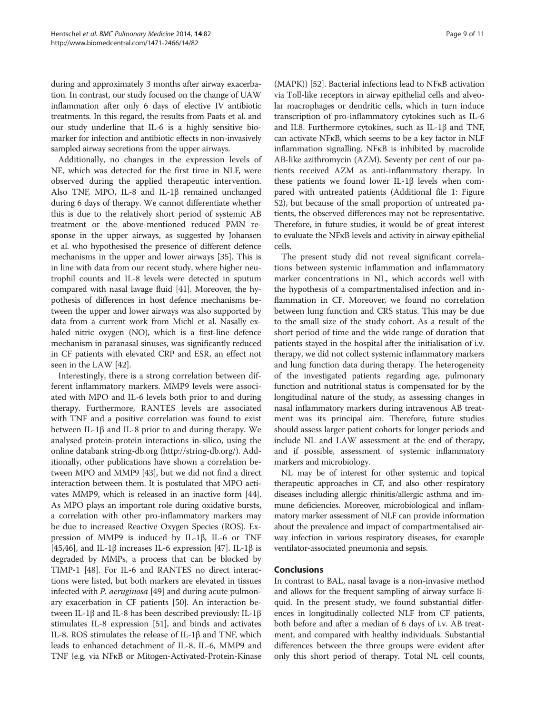during and approximately 3 months after airway exacerbation. In contrast, our study focused on the change of UAW inflammation after only 6 days of elective IV antibiotic treatments. In this regard, the results from Paats et al. and our study underline that IL-6 is a highly sensitive biomarker for infection and antibiotic effects in non-invasively sampled airway secretions from the upper airways.

Additionally, no changes in the expression levels of NE, which was detected for the first time in NLF, were observed during the applied therapeutic intervention. Also TNF, MPO, IL-8 and IL-1β remained unchanged during 6 days of therapy. We cannot differentiate whether this is due to the relatively short period of systemic AB treatment or the above-mentioned reduced PMN response in the upper airways, as suggested by Johansen et al. who hypothesised the presence of different defence mechanisms in the upper and lower airways [[35](#page-10-0)]. This is in line with data from our recent study, where higher neutrophil counts and IL-8 levels were detected in sputum compared with nasal lavage fluid [\[41\]](#page-10-0). Moreover, the hypothesis of differences in host defence mechanisms between the upper and lower airways was also supported by data from a current work from Michl et al. Nasally exhaled nitric oxygen (NO), which is a first-line defence mechanism in paranasal sinuses, was significantly reduced in CF patients with elevated CRP and ESR, an effect not seen in the LAW [[42](#page-10-0)].

Interestingly, there is a strong correlation between different inflammatory markers. MMP9 levels were associated with MPO and IL-6 levels both prior to and during therapy. Furthermore, RANTES levels are associated with TNF and a positive correlation was found to exist between IL-1β and IL-8 prior to and during therapy. We analysed protein-protein interactions in-silico, using the online databank string-db.org [\(http://string-db.org/\)](http://string-db.org/). Additionally, other publications have shown a correlation between MPO and MMP9 [[43](#page-10-0)], but we did not find a direct interaction between them. It is postulated that MPO activates MMP9, which is released in an inactive form [[44](#page-10-0)]. As MPO plays an important role during oxidative bursts, a correlation with other pro-inflammatory markers may be due to increased Reactive Oxygen Species (ROS). Expression of MMP9 is induced by IL-1β, IL-6 or TNF [[45,46](#page-10-0)], and IL-1β increases IL-6 expression [\[47\]](#page-10-0). IL-1β is degraded by MMPs, a process that can be blocked by TIMP-1 [[48](#page-10-0)]. For IL-6 and RANTES no direct interactions were listed, but both markers are elevated in tissues infected with *P. aeruginosa* [\[49\]](#page-10-0) and during acute pulmonary exacerbation in CF patients [[50](#page-10-0)]. An interaction between IL-1β and IL-8 has been described previously: IL-1β stimulates IL-8 expression [[51](#page-10-0)], and binds and activates IL-8. ROS stimulates the release of IL-1β and TNF, which leads to enhanced detachment of IL-8, IL-6, MMP9 and TNF (e.g. via NFκB or Mitogen-Activated-Protein-Kinase

(MAPK)) [[52](#page-10-0)]. Bacterial infections lead to NFκB activation via Toll-like receptors in airway epithelial cells and alveolar macrophages or dendritic cells, which in turn induce transcription of pro-inflammatory cytokines such as IL-6 and IL8. Furthermore cytokines, such as IL-1β and TNF, can activate NFκB, which seems to be a key factor in NLF inflammation signalling. NFκB is inhibited by macrolide AB-like azithromycin (AZM). Seventy per cent of our patients received AZM as anti-inflammatory therapy. In these patients we found lower IL-1β levels when compared with untreated patients (Additional file [1](#page-9-0): Figure S2), but because of the small proportion of untreated patients, the observed differences may not be representative. Therefore, in future studies, it would be of great interest to evaluate the NFκB levels and activity in airway epithelial cells.

The present study did not reveal significant correlations between systemic inflammation and inflammatory marker concentrations in NL, which accords well with the hypothesis of a compartmentalised infection and inflammation in CF. Moreover, we found no correlation between lung function and CRS status. This may be due to the small size of the study cohort. As a result of the short period of time and the wide range of duration that patients stayed in the hospital after the initialisation of i.v. therapy, we did not collect systemic inflammatory markers and lung function data during therapy. The heterogeneity of the investigated patients regarding age, pulmonary function and nutritional status is compensated for by the longitudinal nature of the study, as assessing changes in nasal inflammatory markers during intravenous AB treatment was its principal aim. Therefore, future studies should assess larger patient cohorts for longer periods and include NL and LAW assessment at the end of therapy, and if possible, assessment of systemic inflammatory markers and microbiology.

NL may be of interest for other systemic and topical therapeutic approaches in CF, and also other respiratory diseases including allergic rhinitis/allergic asthma and immune deficiencies. Moreover, microbiological and inflammatory marker assessment of NLF can provide information about the prevalence and impact of compartmentalised airway infection in various respiratory diseases, for example ventilator-associated pneumonia and sepsis.

# Conclusions

In contrast to BAL, nasal lavage is a non-invasive method and allows for the frequent sampling of airway surface liquid. In the present study, we found substantial differences in longitudinally collected NLF from CF patients, both before and after a median of 6 days of i.v. AB treatment, and compared with healthy individuals. Substantial differences between the three groups were evident after only this short period of therapy. Total NL cell counts,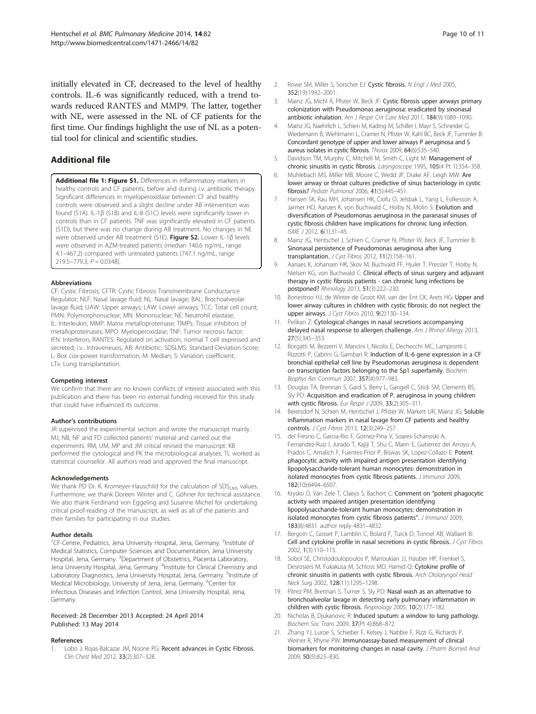<span id="page-9-0"></span>initially elevated in CF, decreased to the level of healthy controls. IL-6 was significantly reduced, with a trend towards reduced RANTES and MMP9. The latter, together with NE, were assessed in the NL of CF patients for the first time. Our findings highlight the use of NL as a potential tool for clinical and scientific studies.

# Additional file

[Additional file 1: Figure S1.](http://www.biomedcentral.com/content/supplementary/1471-2466-14-82-S1.ppt) Differences in inflammatory markers in healthy controls and CF patients, before and during i.v. antibiotic therapy. Significant differences in myeloperoxidase between CF and healthy controls were observed and a slight decline under AB intervention was found (S1A). IL-1β (S1B) and IL-8 (S1C) levels were significantly lower in controls than in CF patients. TNF was significantly elevated in CF patients (S1D), but there was no change during AB treatment. No changes in NE were observed under AB treatment (S1E). Figure S2. Lower IL-1β levels were observed in AZM-treated patients (median 140.6 ng/mL, range 4.1–467.2) compared with untreated patients (747.1 ng/mL, range  $219.5 - 779.3$ ,  $P = 0.0348$ ).

#### Abbreviations

CF: Cystic Fibrosis; CFTR: Cystic Fibrosis Transmembrane Conductance Regulator; NLF: Nasal lavage fluid; NL: Nasal lavage; BAL: Brochoalveolar lavage fluid; UAW: Upper airways; LAW: Lower airways; TCC: Total cell count; PMN: Polymorphonuclear; MN: Mononuclear; NE: Neutrohil elastase; IL: Interleukin; MMP: Matrix metalloproteinase; TIMPs: Tissue inhibitors of metalloproteinases; MPO: Myeloperoxidase; TNF: Tumor necrosis factor; IFN: Interferon; RANTES: Regulated on activation, normal T cell expressed and secreted; i.v.: Intraveneuos; AB: Antibiotic; SDSLMS: Standard-Deviation-Score; L: Box cox-power transformation; M: Median; S: Variation coefficient; LTx: Lung transplantation.

#### Competing interest

We confirm that there are no known conflicts of interest associated with this publication and there has been no external funding received for this study that could have influenced its outcome.

#### Author's contributions

JR supervised the experimental section and wrote the manuscript mainly. MJ, NB, NF and FD collected patients' material and carried out the experiments. RM, UM, MP and JM critical revised the manuscript. KB performed the cytological and PK the microbiological analyses. TL worked as statistical counsellor. All authors read and approved the final manuscript.

#### Acknowledgements

We thank PD Dr. K. Kromeyer-Hauschild for the calculation of  $SDS_{LMS}$  values. Furthermore, we thank Doreen Winter and C. Göhner for technical assistance. We also thank Ferdinand von Eggeling and Susanne Michel for undertaking critical proof-reading of the manuscript, as well as all of the patients and their families for participating in our studies.

#### Author details

<sup>1</sup>CF-Centre, Pediatrics, Jena University Hospital, Jena, Germany. <sup>2</sup>Institute of Medical Statistics, Computer Sciences and Documentation, Jena University Hospital, Jena, Germany. <sup>3</sup>Department of Obstetrics, Placenta Laboratory, Jena University Hospital, Jena, Germany. <sup>4</sup>Institute for Clinical Chemistry and Laboratory Diagnostics, Jena University Hospital, Jena, Germany. <sup>5</sup>Institute of Medical Microbiology, University of Jena, Jena, Germany. <sup>6</sup>Center for Infectious Diseases and Infection Control, Jena University Hospital, Jena, Germany.

#### Received: 28 December 2013 Accepted: 24 April 2014 Published: 13 May 2014

#### References

1. Lobo J, Rojas-Balcazar JM, Noone PG: Recent advances in Cystic Fibrosis. Clin Chest Med 2012, 33(2):307–328.

- 2. Rowe SM, Miller S, Sorscher EJ: Cystic fibrosis. N Engl J Med 2005, 352(19):1992–2001.
- 3. Mainz JG, Michl R, Pfister W, Beck JF: Cystic fibrosis upper airways primary colonization with Pseudomonas aeruginosa: eradicated by sinonasal antibiotic inhalation. Am J Respir Crit Care Med 2011, 184(9):1089–1090.
- 4. Mainz JG, Naehrlich L, Schien M, Kading M, Schiller I, Mayr S, Schneider G, Wiedemann B, Wiehlmann L, Cramer N, Pfister W, Kahl BC, Beck JF, Tummler B: Concordant genotype of upper and lower airways P aeruginosa and S aureus isolates in cystic fibrosis. Thorax 2009, 64(6):535–540.
- 5. Davidson TM, Murphy C, Mitchell M, Smith C, Light M: Management of chronic sinusitis in cystic fibrosis. Laryngoscope 1995, 105(4 Pt 1):354–358.
- 6. Muhlebach MS, Miller MB, Moore C, Wedd JP, Drake AF, Leigh MW: Are lower airway or throat cultures predictive of sinus bacteriology in cystic fibrosis? Pediatr Pulmonol 2006, 41(5):445–451.
- 7. Hansen SK, Rau MH, Johansen HK, Ciofu O, Jelsbak L, Yang L, Folkesson A, Jarmer HO, Aanaes K, von Buchwald C, Hoiby N, Molin S: Evolution and diversification of Pseudomonas aeruginosa in the paranasal sinuses of cystic fibrosis children have implications for chronic lung infection. ISME J 2012, 6(1):31–45.
- 8. Mainz JG, Hentschel J, Schien C, Cramer N, Pfister W, Beck JF, Tummler B: Sinonasal persistence of Pseudomonas aeruginosa after lung transplantation. J Cyst Fibros 2012, 11(2):158-161.
- 9. Aanaes K, Johansen HK, Skov M, Buchvald FF, Hjuler T, Pressler T, Hoiby N, Nielsen KG, von Buchwald C: Clinical effects of sinus surgery and adjuvant therapy in cystic fibrosis patients - can chronic lung infections be postponed? Rhinology 2013, 51(3):222–230.
- 10. Bonestroo HJ, de Winter-de Groot KM, van der Ent CK, Arets HG: Upper and lower airway cultures in children with cystic fibrosis: do not neglect the upper airways. J Cyst Fibros 2010, 9(2):130–134.
- 11. Pelikan Z: Cytological changes in nasal secretions accompanying delayed nasal response to allergen challenge. Am J Rhinol Allergy 2013, 27(5):345–353.
- 12. Borgatti M, Bezzerri V, Mancini I, Nicolis E, Dechecchi MC, Lampronti I, Rizzotti P, Cabrini G, Gambari R: Induction of IL-6 gene expression in a CF bronchial epithelial cell line by Pseudomonas aeruginosa is dependent on transcription factors belonging to the Sp1 superfamily. Biochem Biophys Res Commun 2007, 357(4):977–983.
- 13. Douglas TA, Brennan S, Gard S, Berry L, Gangell C, Stick SM, Clements BS, Sly PD: Acquisition and eradication of P. aeruginosa in young children with cystic fibrosis. Eur Respir J 2009, 33(2):305-311.
- 14. Beiersdorf N, Schien M, Hentschel J, Pfister W, Markert UR, Mainz JG: Soluble inflammation markers in nasal lavage from CF patients and healthy controls. J Cyst Fibros 2013, 12(3):249–257.
- 15. del Fresno C, Garcia-Rio F, Gomez-Pina V, Soares-Schanoski A, Fernandez-Ruiz I, Jurado T, Kajiji T, Shu C, Marin E, Gutierrez del Arroyo A, Prados C, Arnalich F, Fuentes-Prior P, Biswas SK, Lopez-Collazo E: Potent phagocytic activity with impaired antigen presentation identifying lipopolysaccharide-tolerant human monocytes: demonstration in isolated monocytes from cystic fibrosis patients. J Immunol 2009, 182(10):6494–6507.
- 16. Krysko O, Van Zele T, Claeys S, Bachert C: Comment on "potent phagocytic activity with impaired antigen presentation identifying lipopolysaccharide-tolerant human monocytes: demonstration in isolated monocytes from cystic fibrosis patients". J Immunol 2009, 183(8):4831. author reply 4831–4832.
- 17. Bergoin C, Gosset P, Lamblin C, Bolard F, Turck D, Tonnel AB, Wallaert B: Cell and cytokine profile in nasal secretions in cystic fibrosis. J Cyst Fibros 2002, 1(3):110–115.
- 18. Sobol SE, Christodoulopoulos P, Manoukian JJ, Hauber HP, Frenkiel S, Desrosiers M, Fukakusa M, Schloss MD, Hamid Q: Cytokine profile of chronic sinusitis in patients with cystic fibrosis. Arch Otolaryngol Head Neck Surg 2002, 128(11):1295–1298.
- 19. Pitrez PM, Brennan S, Turner S, Sly PD: Nasal wash as an alternative to bronchoalveolar lavage in detecting early pulmonary inflammation in children with cystic fibrosis. Respirology 2005, 10(2):177–182.
- 20. Nicholas B, Djukanovic R: Induced sputum: a window to lung pathology. Biochem Soc Trans 2009, 37(Pt 4):868–872.
- 21. Zhang YJ, Luroe S, Schieber F, Kelsey J, Nabbie F, Rizzi G, Richards P, Weiner R, Rhyne PW: Immunoassay-based measurement of clinical biomarkers for monitoring changes in nasal cavity. J Pharm Biomed Anal 2009, 50(5):823–830.